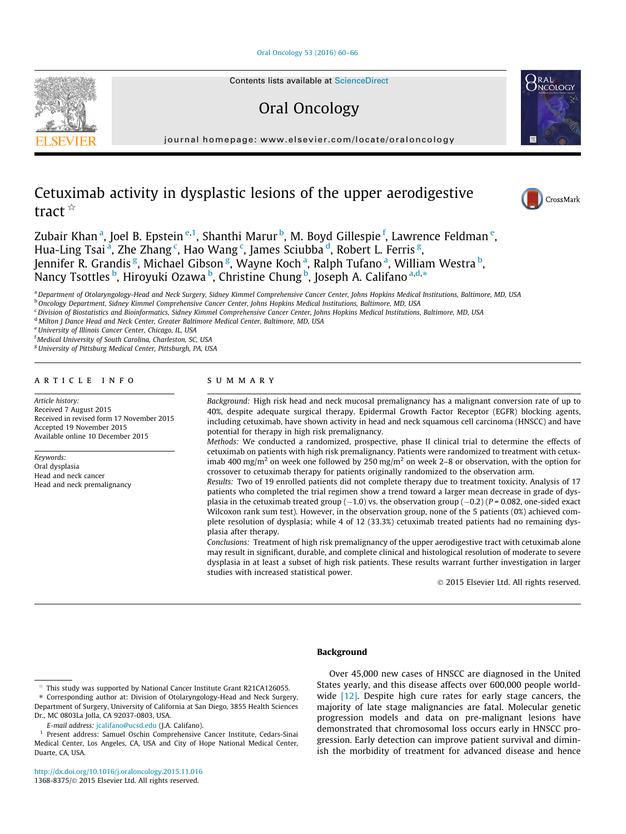### [Oral Oncology 53 \(2016\) 60–66](http://dx.doi.org/10.1016/j.oraloncology.2015.11.016)



Oral Oncology

journal homepage: [www.elsevier.com/locate/oraloncology](http://www.elsevier.com/locate/oraloncology)

# Cetuximab activity in dysplastic lesions of the upper aerodigestive tract $\mathbb{R}$

Zubair Khan <sup>a</sup>, Joel B. Epstein <sup>e,1</sup>, Shanthi Marur <sup>b</sup>, M. Boyd Gillespie <sup>f</sup>, Lawrence Feldman <sup>e</sup>, Hua-Ling Tsai <sup>a</sup>, Zhe Zhang <sup>c</sup>, Hao Wang <sup>c</sup>, James Sciubba <sup>d</sup>, Robert L. Ferris <sup>g</sup>, Jennifer R. Grandis <sup>g</sup>, Michael Gibson <sup>g</sup>, Wayne Koch <sup>a</sup>, Ralph Tufano <sup>a</sup>, William Westra <sup>b</sup>, Nancy Tsottles <sup>b</sup>, Hiroyuki Ozawa <sup>b</sup>, Christine Chung <sup>b</sup>, Joseph A. Califano a,d,\*

a Department of Otolaryngology-Head and Neck Surgery, Sidney Kimmel Comprehensive Cancer Center, Johns Hopkins Medical Institutions, Baltimore, MD, USA <sup>b</sup> Oncology Department, Sidney Kimmel Comprehensive Cancer Center, Johns Hopkins Medical Institutions, Baltimore, MD, USA

<sup>c</sup> Division of Biostatistics and Bioinformatics, Sidney Kimmel Comprehensive Cancer Center, Johns Hopkins Medical Institutions, Baltimore, MD, USA

<sup>d</sup> Milton J Dance Head and Neck Center, Greater Baltimore Medical Center, Baltimore, MD, USA

<sup>e</sup>University of Illinois Cancer Center, Chicago, IL, USA

f Medical University of South Carolina, Charleston, SC, USA

<sup>g</sup>University of Pittsburg Medical Center, Pittsburgh, PA, USA

## article info

Article history: Received 7 August 2015 Received in revised form 17 November 2015 Accepted 19 November 2015 Available online 10 December 2015

Keywords: Oral dysplasia Head and neck cancer Head and neck premalignancy

# SUMMARY

Background: High risk head and neck mucosal premalignancy has a malignant conversion rate of up to 40%, despite adequate surgical therapy. Epidermal Growth Factor Receptor (EGFR) blocking agents, including cetuximab, have shown activity in head and neck squamous cell carcinoma (HNSCC) and have potential for therapy in high risk premalignancy.

Methods: We conducted a randomized, prospective, phase II clinical trial to determine the effects of cetuximab on patients with high risk premalignancy. Patients were randomized to treatment with cetuximab 400 mg/m<sup>2</sup> on week one followed by 250 mg/m<sup>2</sup> on week 2–8 or observation, with the option for crossover to cetuximab therapy for patients originally randomized to the observation arm.

Results: Two of 19 enrolled patients did not complete therapy due to treatment toxicity. Analysis of 17 patients who completed the trial regimen show a trend toward a larger mean decrease in grade of dysplasia in the cetuximab treated group  $(-1.0)$  vs. the observation group  $(-0.2)$  (P = 0.082, one-sided exact Wilcoxon rank sum test). However, in the observation group, none of the 5 patients (0%) achieved complete resolution of dysplasia; while 4 of 12 (33.3%) cetuximab treated patients had no remaining dysplasia after therapy.

Conclusions: Treatment of high risk premalignancy of the upper aerodigestive tract with cetuximab alone may result in significant, durable, and complete clinical and histological resolution of moderate to severe dysplasia in at least a subset of high risk patients. These results warrant further investigation in larger studies with increased statistical power.

2015 Elsevier Ltd. All rights reserved.

## Background

Over 45,000 new cases of HNSCC are diagnosed in the United States yearly, and this disease affects over 600,000 people world-wide [\[12\]](#page-6-0). Despite high cure rates for early stage cancers, the majority of late stage malignancies are fatal. Molecular genetic progression models and data on pre-malignant lesions have demonstrated that chromosomal loss occurs early in HNSCC progression. Early detection can improve patient survival and diminish the morbidity of treatment for advanced disease and hence



NCOLOGY

 $*$  This study was supported by National Cancer Institute Grant R21CA126055.

<sup>⇑</sup> Corresponding author at: Division of Otolaryngology-Head and Neck Surgery, Department of Surgery, University of California at San Diego, 3855 Health Sciences Dr., MC 0803La Jolla, CA 92037-0803, USA.

E-mail address: [jcalifano@ucsd.edu](mailto:jcalifano@ucsd.edu) (J.A. Califano).

<sup>1</sup> Present address: Samuel Oschin Comprehensive Cancer Institute, Cedars-Sinai Medical Center, Los Angeles, CA, USA and City of Hope National Medical Center, Duarte, CA, USA.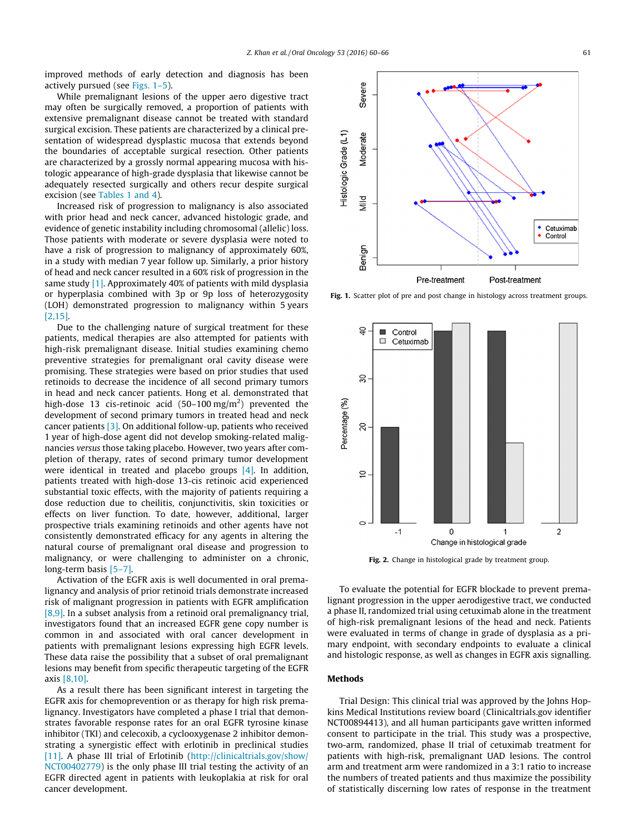improved methods of early detection and diagnosis has been actively pursued (see Figs. 1–5).

While premalignant lesions of the upper aero digestive tract may often be surgically removed, a proportion of patients with extensive premalignant disease cannot be treated with standard surgical excision. These patients are characterized by a clinical presentation of widespread dysplastic mucosa that extends beyond the boundaries of acceptable surgical resection. Other patients are characterized by a grossly normal appearing mucosa with histologic appearance of high-grade dysplasia that likewise cannot be adequately resected surgically and others recur despite surgical excision (see [Tables 1 and 4](#page-3-0)).

Increased risk of progression to malignancy is also associated with prior head and neck cancer, advanced histologic grade, and evidence of genetic instability including chromosomal (allelic) loss. Those patients with moderate or severe dysplasia were noted to have a risk of progression to malignancy of approximately 60%, in a study with median 7 year follow up. Similarly, a prior history of head and neck cancer resulted in a 60% risk of progression in the same study [\[1\]](#page-6-0). Approximately 40% of patients with mild dysplasia or hyperplasia combined with 3p or 9p loss of heterozygosity (LOH) demonstrated progression to malignancy within 5 years [\[2,15\].](#page-6-0)

Due to the challenging nature of surgical treatment for these patients, medical therapies are also attempted for patients with high-risk premalignant disease. Initial studies examining chemo preventive strategies for premalignant oral cavity disease were promising. These strategies were based on prior studies that used retinoids to decrease the incidence of all second primary tumors in head and neck cancer patients. Hong et al. demonstrated that high-dose 13 cis-retinoic acid (50–100 mg/m<sup>2</sup>) prevented the development of second primary tumors in treated head and neck cancer patients [\[3\].](#page-6-0) On additional follow-up, patients who received 1 year of high-dose agent did not develop smoking-related malignancies versus those taking placebo. However, two years after completion of therapy, rates of second primary tumor development were identical in treated and placebo groups [\[4\]](#page-6-0). In addition, patients treated with high-dose 13-cis retinoic acid experienced substantial toxic effects, with the majority of patients requiring a dose reduction due to cheilitis, conjunctivitis, skin toxicities or effects on liver function. To date, however, additional, larger prospective trials examining retinoids and other agents have not consistently demonstrated efficacy for any agents in altering the natural course of premalignant oral disease and progression to malignancy, or were challenging to administer on a chronic, long-term basis [\[5–7\].](#page-6-0)

Activation of the EGFR axis is well documented in oral premalignancy and analysis of prior retinoid trials demonstrate increased risk of malignant progression in patients with EGFR amplification [\[8,9\].](#page-6-0) In a subset analysis from a retinoid oral premalignancy trial, investigators found that an increased EGFR gene copy number is common in and associated with oral cancer development in patients with premalignant lesions expressing high EGFR levels. These data raise the possibility that a subset of oral premalignant lesions may benefit from specific therapeutic targeting of the EGFR axis [\[8,10\]](#page-6-0).

As a result there has been significant interest in targeting the EGFR axis for chemoprevention or as therapy for high risk premalignancy. Investigators have completed a phase I trial that demonstrates favorable response rates for an oral EGFR tyrosine kinase inhibitor (TKI) and celecoxib, a cyclooxygenase 2 inhibitor demonstrating a synergistic effect with erlotinib in preclinical studies [\[11\].](#page-6-0) A phase III trial of Erlotinib ([http://clinicaltrials.gov/show/](http://clinicaltrials.gov/show/NCT00402779) [NCT00402779\)](http://clinicaltrials.gov/show/NCT00402779) is the only phase III trial testing the activity of an EGFR directed agent in patients with leukoplakia at risk for oral cancer development.



Fig. 1. Scatter plot of pre and post change in histology across treatment groups.

![](_page_1_Figure_9.jpeg)

Fig. 2. Change in histological grade by treatment group.

To evaluate the potential for EGFR blockade to prevent premalignant progression in the upper aerodigestive tract, we conducted a phase II, randomized trial using cetuximab alone in the treatment of high-risk premalignant lesions of the head and neck. Patients were evaluated in terms of change in grade of dysplasia as a primary endpoint, with secondary endpoints to evaluate a clinical and histologic response, as well as changes in EGFR axis signalling.

# Methods

Trial Design: This clinical trial was approved by the Johns Hopkins Medical Institutions review board (Clinicaltrials.gov identifier NCT00894413), and all human participants gave written informed consent to participate in the trial. This study was a prospective, two-arm, randomized, phase II trial of cetuximab treatment for patients with high-risk, premalignant UAD lesions. The control arm and treatment arm were randomized in a 3:1 ratio to increase the numbers of treated patients and thus maximize the possibility of statistically discerning low rates of response in the treatment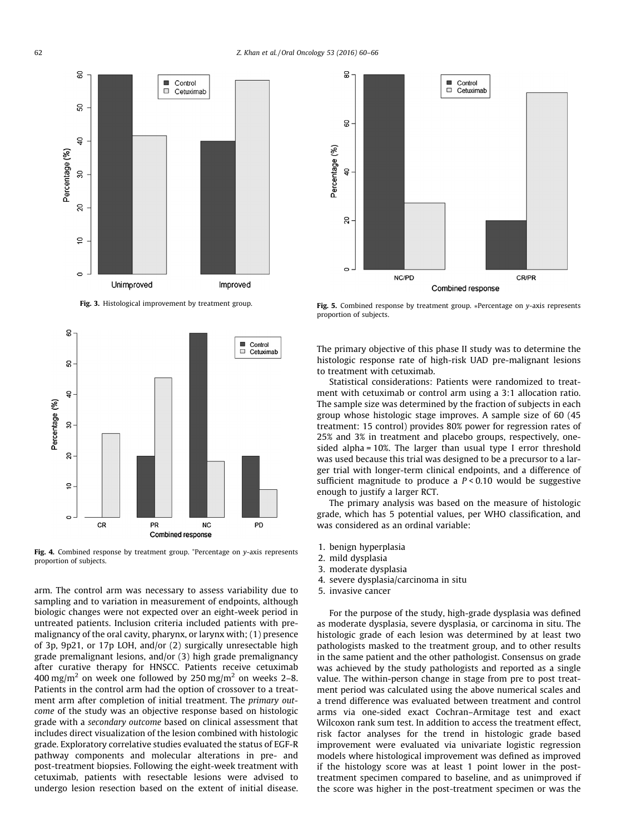![](_page_2_Figure_1.jpeg)

Fig. 3. Histological improvement by treatment group.

![](_page_2_Figure_3.jpeg)

Fig. 4. Combined response by treatment group. \*Percentage on y-axis represents proportion of subjects.

arm. The control arm was necessary to assess variability due to sampling and to variation in measurement of endpoints, although biologic changes were not expected over an eight-week period in untreated patients. Inclusion criteria included patients with premalignancy of the oral cavity, pharynx, or larynx with; (1) presence of 3p, 9p21, or 17p LOH, and/or (2) surgically unresectable high grade premalignant lesions, and/or (3) high grade premalignancy after curative therapy for HNSCC. Patients receive cetuximab 400 mg/m<sup>2</sup> on week one followed by 250 mg/m<sup>2</sup> on weeks 2–8. Patients in the control arm had the option of crossover to a treatment arm after completion of initial treatment. The primary outcome of the study was an objective response based on histologic grade with a secondary outcome based on clinical assessment that includes direct visualization of the lesion combined with histologic grade. Exploratory correlative studies evaluated the status of EGF-R pathway components and molecular alterations in pre- and post-treatment biopsies. Following the eight-week treatment with cetuximab, patients with resectable lesions were advised to undergo lesion resection based on the extent of initial disease.

![](_page_2_Figure_6.jpeg)

Fig. 5. Combined response by treatment group. \*Percentage on y-axis represents proportion of subjects.

The primary objective of this phase II study was to determine the histologic response rate of high-risk UAD pre-malignant lesions to treatment with cetuximab.

Statistical considerations: Patients were randomized to treatment with cetuximab or control arm using a 3:1 allocation ratio. The sample size was determined by the fraction of subjects in each group whose histologic stage improves. A sample size of 60 (45 treatment: 15 control) provides 80% power for regression rates of 25% and 3% in treatment and placebo groups, respectively, onesided alpha = 10%. The larger than usual type I error threshold was used because this trial was designed to be a precursor to a larger trial with longer-term clinical endpoints, and a difference of sufficient magnitude to produce a  $P < 0.10$  would be suggestive enough to justify a larger RCT.

The primary analysis was based on the measure of histologic grade, which has 5 potential values, per WHO classification, and was considered as an ordinal variable:

- 1. benign hyperplasia
- 2. mild dysplasia
- 3. moderate dysplasia
- 4. severe dysplasia/carcinoma in situ
- 5. invasive cancer

For the purpose of the study, high-grade dysplasia was defined as moderate dysplasia, severe dysplasia, or carcinoma in situ. The histologic grade of each lesion was determined by at least two pathologists masked to the treatment group, and to other results in the same patient and the other pathologist. Consensus on grade was achieved by the study pathologists and reported as a single value. The within-person change in stage from pre to post treatment period was calculated using the above numerical scales and a trend difference was evaluated between treatment and control arms via one-sided exact Cochran–Armitage test and exact Wilcoxon rank sum test. In addition to access the treatment effect, risk factor analyses for the trend in histologic grade based improvement were evaluated via univariate logistic regression models where histological improvement was defined as improved if the histology score was at least 1 point lower in the posttreatment specimen compared to baseline, and as unimproved if the score was higher in the post-treatment specimen or was the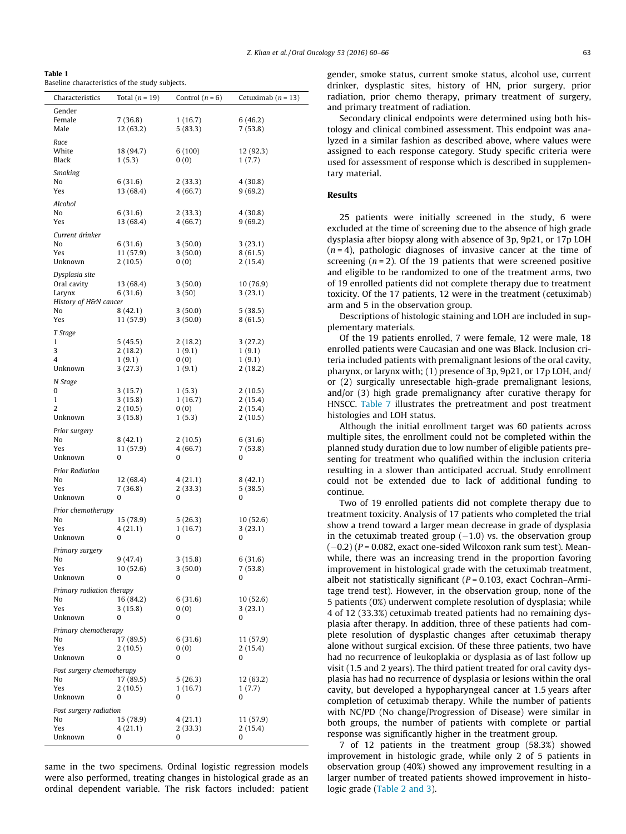<span id="page-3-0"></span>Table 1 Baseline characteristics of the study subjects.

| Characteristics                 | Total $(n = 19)$       | Control $(n = 6)$  | Cetuximab $(n = 13)$ |  |  |  |
|---------------------------------|------------------------|--------------------|----------------------|--|--|--|
| Gender                          |                        |                    |                      |  |  |  |
| Female                          | 7 (36.8)               | 1(16.7)            | 6(46.2)              |  |  |  |
| Male                            | 12 (63.2)              | 5 (83.3)           | 7(53.8)              |  |  |  |
| Race                            |                        |                    |                      |  |  |  |
| White<br>Black                  | 18 (94.7)<br>1(5.3)    | 6 (100)<br>0(0)    | 12 (92.3)<br>1(7.7)  |  |  |  |
|                                 |                        |                    |                      |  |  |  |
| Smoking<br>No                   | 6 (31.6)               | 2(33.3)            | 4(30.8)              |  |  |  |
| Yes                             | 13 (68.4)              | 4 (66.7)           | 9(69.2)              |  |  |  |
|                                 |                        |                    |                      |  |  |  |
| Alcohol<br>No                   | 6(31.6)                | 2(33.3)            | 4(30.8)              |  |  |  |
| Yes                             | 13 (68.4)              | 4 (66.7)           | 9(69.2)              |  |  |  |
| Current drinker                 |                        |                    |                      |  |  |  |
| No                              | 6 (31.6)               | 3(50.0)            | 3(23.1)              |  |  |  |
| Yes                             | 11 (57.9)              | 3(50.0)            | 8(61.5)              |  |  |  |
| Unknown                         | 2(10.5)                | 0(0)               | 2(15.4)              |  |  |  |
| Dysplasia site                  |                        |                    |                      |  |  |  |
| Oral cavity                     | 13 (68.4)              | 3(50.0)            | 10 (76.9)            |  |  |  |
| Larynx<br>History of H&N cancer | 6 (31.6)               | 3(50)              | 3(23.1)              |  |  |  |
| No                              | 8 (42.1)               | 3(50.0)            | 5(38.5)              |  |  |  |
| Yes                             | 11 (57.9)              | 3(50.0)            | 8(61.5)              |  |  |  |
| T Stage                         |                        |                    |                      |  |  |  |
| 1                               | 5(45.5)                | 2(18.2)            | 3(27.2)              |  |  |  |
| 3                               | 2(18.2)                | 1(9.1)             | 1(9.1)               |  |  |  |
| 4                               | 1(9.1)                 | 0(0)               | 1(9.1)               |  |  |  |
| Unknown                         | 3 (27.3)               | 1(9.1)             | 2(18.2)              |  |  |  |
| N Stage<br>0                    | 3(15.7)                | 1(5.3)             | 2(10.5)              |  |  |  |
| $\mathbf{1}$                    | 3(15.8)                | 1(16.7)            | 2(15.4)              |  |  |  |
| 2                               | 2(10.5)                | 0(0)               | 2(15.4)              |  |  |  |
| Unknown                         | 3(15.8)                | 1(5.3)             | 2(10.5)              |  |  |  |
| Prior surgery                   |                        |                    |                      |  |  |  |
| No                              | 8(42.1)                | 2(10.5)            | 6(31.6)              |  |  |  |
| Yes<br>Unknown                  | 11 (57.9)<br>0         | 4 (66.7)<br>0      | 7(53.8)<br>0         |  |  |  |
|                                 |                        |                    |                      |  |  |  |
| Prior Radiation<br>No           | 12 (68.4)              | 4(21.1)            | 8(42.1)              |  |  |  |
| Yes                             | 7 (36.8)               | 2(33.3)            | 5(38.5)              |  |  |  |
| Unknown                         | 0                      | 0                  | 0                    |  |  |  |
| Prior chemotherapy              |                        |                    |                      |  |  |  |
| No                              | 15 (78.9)              | 5(26.3)            | 10(52.6)             |  |  |  |
| Yes                             | 4 (21.1)               | 1(16.7)            | 3(23.1)              |  |  |  |
| Unknown                         | 0                      | 0                  | 0                    |  |  |  |
| Primary surgery                 |                        |                    |                      |  |  |  |
| No<br>Yes                       | 9(47.4)<br>10 (52.6)   | 3(15.8)<br>3(50.0) | 6(31.6)<br>7(53.8)   |  |  |  |
| Unknown                         | 0                      | 0                  | 0                    |  |  |  |
| Primary radiation therapy       |                        |                    |                      |  |  |  |
| No                              | 16 (84.2)              | 6 (31.6)           | 10 (52.6)            |  |  |  |
| Yes                             | 3(15.8)                | 0(0)               | 3(23.1)              |  |  |  |
| Unknown                         | 0                      | 0                  | 0                    |  |  |  |
| Primary chemotherapy            |                        |                    |                      |  |  |  |
| No<br>Yes                       | 17 (89.5)<br>2(10.5)   | 6(31.6)            | 11 (57.9)            |  |  |  |
| Unknown                         | 0                      | 0(0)<br>0          | 2(15.4)<br>0         |  |  |  |
|                                 |                        |                    |                      |  |  |  |
| Post surgery chemotherapy<br>No | 17 (89.5)              | 5(26.3)            | 12 (63.2)            |  |  |  |
| Yes                             | 2(10.5)                | 1(16.7)            | 1(7.7)               |  |  |  |
| Unknown                         | 0                      | 0                  | 0                    |  |  |  |
|                                 | Post surgery radiation |                    |                      |  |  |  |
| No                              | 15 (78.9)              | 4 (21.1)           | 11 (57.9)            |  |  |  |
| Yes<br>Unknown                  | 4(21.1)<br>0           | 2(33.3)<br>0       | 2(15.4)<br>0         |  |  |  |
|                                 |                        |                    |                      |  |  |  |

same in the two specimens. Ordinal logistic regression models were also performed, treating changes in histological grade as an ordinal dependent variable. The risk factors included: patient gender, smoke status, current smoke status, alcohol use, current drinker, dysplastic sites, history of HN, prior surgery, prior radiation, prior chemo therapy, primary treatment of surgery, and primary treatment of radiation.

Secondary clinical endpoints were determined using both histology and clinical combined assessment. This endpoint was analyzed in a similar fashion as described above, where values were assigned to each response category. Study specific criteria were used for assessment of response which is described in supplementary material.

# Results

25 patients were initially screened in the study, 6 were excluded at the time of screening due to the absence of high grade dysplasia after biopsy along with absence of 3p, 9p21, or 17p LOH  $(n = 4)$ , pathologic diagnoses of invasive cancer at the time of screening  $(n = 2)$ . Of the 19 patients that were screened positive and eligible to be randomized to one of the treatment arms, two of 19 enrolled patients did not complete therapy due to treatment toxicity. Of the 17 patients, 12 were in the treatment (cetuximab) arm and 5 in the observation group.

Descriptions of histologic staining and LOH are included in supplementary materials.

Of the 19 patients enrolled, 7 were female, 12 were male, 18 enrolled patients were Caucasian and one was Black. Inclusion criteria included patients with premalignant lesions of the oral cavity, pharynx, or larynx with; (1) presence of 3p, 9p21, or 17p LOH, and/ or (2) surgically unresectable high-grade premalignant lesions, and/or (3) high grade premalignancy after curative therapy for HNSCC. [Table 7](#page-6-0) illustrates the pretreatment and post treatment histologies and LOH status.

Although the initial enrollment target was 60 patients across multiple sites, the enrollment could not be completed within the planned study duration due to low number of eligible patients presenting for treatment who qualified within the inclusion criteria resulting in a slower than anticipated accrual. Study enrollment could not be extended due to lack of additional funding to continue.

Two of 19 enrolled patients did not complete therapy due to treatment toxicity. Analysis of 17 patients who completed the trial show a trend toward a larger mean decrease in grade of dysplasia in the cetuximab treated group  $(-1.0)$  vs. the observation group  $(-0.2)$  (P = 0.082, exact one-sided Wilcoxon rank sum test). Meanwhile, there was an increasing trend in the proportion favoring improvement in histological grade with the cetuximab treatment, albeit not statistically significant ( $P = 0.103$ , exact Cochran–Armitage trend test). However, in the observation group, none of the 5 patients (0%) underwent complete resolution of dysplasia; while 4 of 12 (33.3%) cetuximab treated patients had no remaining dysplasia after therapy. In addition, three of these patients had complete resolution of dysplastic changes after cetuximab therapy alone without surgical excision. Of these three patients, two have had no recurrence of leukoplakia or dysplasia as of last follow up visit (1.5 and 2 years). The third patient treated for oral cavity dysplasia has had no recurrence of dysplasia or lesions within the oral cavity, but developed a hypopharyngeal cancer at 1.5 years after completion of cetuximab therapy. While the number of patients with NC/PD (No change/Progression of Disease) were similar in both groups, the number of patients with complete or partial response was significantly higher in the treatment group.

7 of 12 patients in the treatment group (58.3%) showed improvement in histologic grade, while only 2 of 5 patients in observation group (40%) showed any improvement resulting in a larger number of treated patients showed improvement in histologic grade ([Table 2 and 3\)](#page-4-0).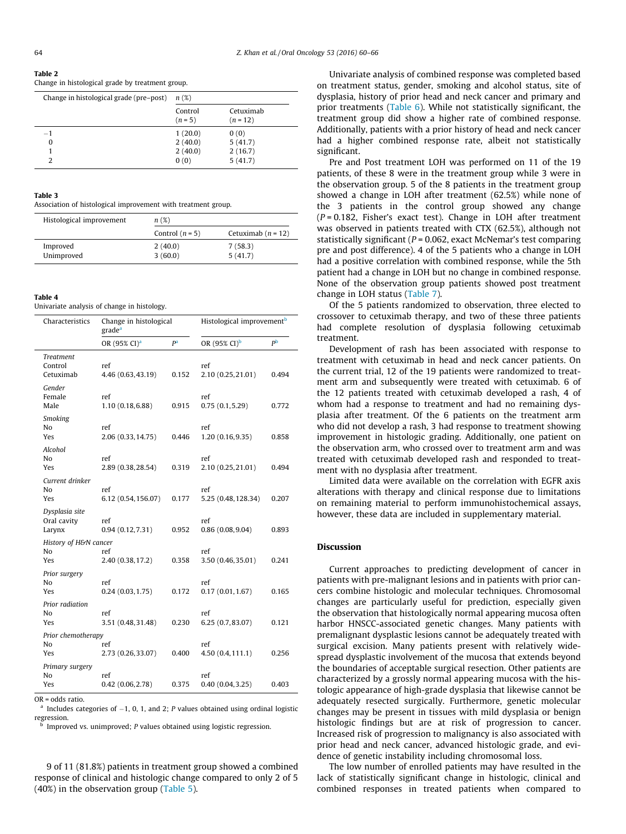## <span id="page-4-0"></span>Table 2

Change in histological grade by treatment group.

| Change in histological grade (pre-post) | n(%)                 |                         |
|-----------------------------------------|----------------------|-------------------------|
|                                         | Control<br>$(n = 5)$ | Cetuximab<br>$(n = 12)$ |
| $-1$                                    | 1(20.0)              | 0(0)                    |
| 0                                       | 2(40.0)              | 5(41.7)                 |
|                                         | 2(40.0)              | 2(16.7)                 |
| 2                                       | 0(0)                 | 5(41.7)                 |

#### Table 3

Association of histological improvement with treatment group.

| Histological improvement | n(%)               |                      |  |  |
|--------------------------|--------------------|----------------------|--|--|
|                          | Control $(n = 5)$  | Cetuximab $(n = 12)$ |  |  |
| Improved<br>Unimproved   | 2(40.0)<br>3(60.0) | 7(58.3)<br>5(41.7)   |  |  |

#### Table 4

Univariate analysis of change in histology.

| Characteristics                          | Change in histological<br>grade <sup>a</sup> |                | Histological improvement <sup>b</sup> |             |
|------------------------------------------|----------------------------------------------|----------------|---------------------------------------|-------------|
|                                          | OR (95% CI) <sup>a</sup>                     | P <sup>a</sup> | OR (95% CI) <sup>b</sup>              | $P^{\rm b}$ |
| <b>Treatment</b><br>Control<br>Cetuximab | ref<br>4.46 (0.63, 43.19)                    | 0.152          | ref<br>2.10 (0.25, 21.01)             | 0.494       |
| Gender<br>Female<br>Male                 | ref<br>1.10(0.18, 6.88)                      | 0.915          | ref<br>0.75(0.1, 5.29)                | 0.772       |
| Smoking<br>No<br>Yes                     | ref<br>2.06 (0.33, 14.75)                    | 0.446          | ref<br>1.20(0.16, 9.35)               | 0.858       |
| Alcohol<br>No<br>Yes                     | ref<br>2.89 (0.38, 28.54)                    | 0.319          | ref<br>2.10 (0.25, 21.01)             | 0.494       |
| Current drinker<br>No<br>Yes             | ref<br>6.12 (0.54, 156.07)                   | 0.177          | ref<br>5.25 (0.48, 128.34)            | 0.207       |
| Dysplasia site<br>Oral cavity<br>Larynx  | ref<br>0.94(0.12, 7.31)                      | 0.952          | ref<br>0.86(0.08, 9.04)               | 0.893       |
| History of H&N cancer                    |                                              |                |                                       |             |
| N <sub>0</sub><br>Yes                    | ref<br>2.40 (0.38, 17.2)                     | 0.358          | ref<br>3.50 (0.46,35.01)              | 0.241       |
| Prior surgery<br>No<br>Yes               | ref<br>0.24(0.03, 1.75)                      | 0.172          | ref<br>0.17(0.01, 1.67)               | 0.165       |
| Prior radiation<br>No<br>Yes             | ref<br>3.51 (0.48, 31.48)                    | 0.230          | ref<br>6.25(0.7, 83.07)               | 0.121       |
| Prior chemotherapy<br>No<br>Yes          | ref<br>2.73 (0.26, 33.07)                    | 0.400          | ref<br>4.50(0.4, 111.1)               | 0.256       |
| Primary surgery<br>No<br>Yes             | ref<br>0.42(0.06, 2.78)                      | 0.375          | ref<br>0.40(0.04, 3.25)               | 0.403       |

OR = odds ratio.

<sup>a</sup> Includes categories of  $-1$ , 0, 1, and 2; P values obtained using ordinal logistic regression.

Improved vs. unimproved; P values obtained using logistic regression.

9 of 11 (81.8%) patients in treatment group showed a combined response of clinical and histologic change compared to only 2 of 5 (40%) in the observation group ([Table 5\)](#page-5-0).

Univariate analysis of combined response was completed based on treatment status, gender, smoking and alcohol status, site of dysplasia, history of prior head and neck cancer and primary and prior treatments [\(Table 6\)](#page-5-0). While not statistically significant, the treatment group did show a higher rate of combined response. Additionally, patients with a prior history of head and neck cancer had a higher combined response rate, albeit not statistically significant.

Pre and Post treatment LOH was performed on 11 of the 19 patients, of these 8 were in the treatment group while 3 were in the observation group. 5 of the 8 patients in the treatment group showed a change in LOH after treatment (62.5%) while none of the 3 patients in the control group showed any change  $(P = 0.182$ , Fisher's exact test). Change in LOH after treatment was observed in patients treated with CTX (62.5%), although not statistically significant ( $P = 0.062$ , exact McNemar's test comparing pre and post difference). 4 of the 5 patients who a change in LOH had a positive correlation with combined response, while the 5th patient had a change in LOH but no change in combined response. None of the observation group patients showed post treatment change in LOH status [\(Table 7\)](#page-6-0).

Of the 5 patients randomized to observation, three elected to crossover to cetuximab therapy, and two of these three patients had complete resolution of dysplasia following cetuximab treatment.

Development of rash has been associated with response to treatment with cetuximab in head and neck cancer patients. On the current trial, 12 of the 19 patients were randomized to treatment arm and subsequently were treated with cetuximab. 6 of the 12 patients treated with cetuximab developed a rash, 4 of whom had a response to treatment and had no remaining dysplasia after treatment. Of the 6 patients on the treatment arm who did not develop a rash, 3 had response to treatment showing improvement in histologic grading. Additionally, one patient on the observation arm, who crossed over to treatment arm and was treated with cetuximab developed rash and responded to treatment with no dysplasia after treatment.

Limited data were available on the correlation with EGFR axis alterations with therapy and clinical response due to limitations on remaining material to perform immunohistochemical assays, however, these data are included in supplementary material.

## Discussion

Current approaches to predicting development of cancer in patients with pre-malignant lesions and in patients with prior cancers combine histologic and molecular techniques. Chromosomal changes are particularly useful for prediction, especially given the observation that histologically normal appearing mucosa often harbor HNSCC-associated genetic changes. Many patients with premalignant dysplastic lesions cannot be adequately treated with surgical excision. Many patients present with relatively widespread dysplastic involvement of the mucosa that extends beyond the boundaries of acceptable surgical resection. Other patients are characterized by a grossly normal appearing mucosa with the histologic appearance of high-grade dysplasia that likewise cannot be adequately resected surgically. Furthermore, genetic molecular changes may be present in tissues with mild dysplasia or benign histologic findings but are at risk of progression to cancer. Increased risk of progression to malignancy is also associated with prior head and neck cancer, advanced histologic grade, and evidence of genetic instability including chromosomal loss.

The low number of enrolled patients may have resulted in the lack of statistically significant change in histologic, clinical and combined responses in treated patients when compared to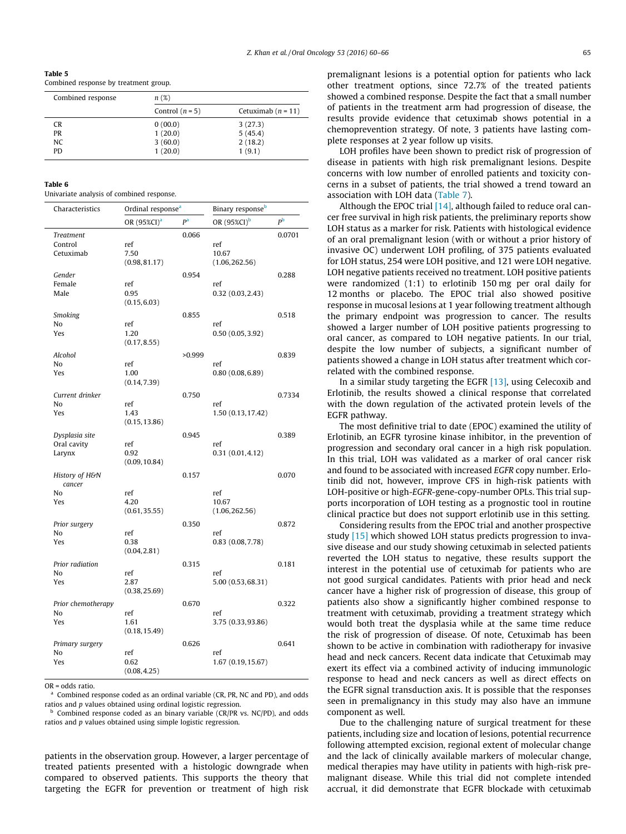<span id="page-5-0"></span>Table 5

Combined response by treatment group.

| Combined response | n(%)              |                      |
|-------------------|-------------------|----------------------|
|                   | Control $(n = 5)$ | Cetuximab $(n = 11)$ |
| CR.               | 0(00.0)           | 3(27.3)              |
| PR                | 1(20.0)           | 5(45.4)              |
| NC.               | 3(60.0)           | 2(18.2)              |
| <b>PD</b>         | 1(20.0)           | 1(9.1)               |

| iad |  |
|-----|--|
|-----|--|

Univariate analysis of combined response.

| Characteristics          | Ordinal response <sup>a</sup> |        | Binary response <sup>b</sup> |                |
|--------------------------|-------------------------------|--------|------------------------------|----------------|
|                          | OR (95%CI) <sup>a</sup>       | pa     | OR (95%CI) <sup>b</sup>      | P <sub>b</sub> |
| <b>Treatment</b>         |                               | 0.066  |                              | 0.0701         |
| Control<br>Cetuximab     | ref<br>7.50                   |        | ref<br>10.67                 |                |
|                          | (0.98, 81.17)                 |        | (1.06, 262.56)               |                |
| Gender                   |                               | 0.954  |                              | 0.288          |
| Female                   | ref                           |        | ref                          |                |
| Male                     | 0.95<br>(0.15, 6.03)          |        | 0.32(0.03, 2.43)             |                |
| Smoking                  |                               | 0.855  |                              | 0.518          |
| No                       | ref                           |        | ref                          |                |
| Yes                      | 1.20<br>(0.17, 8.55)          |        | 0.50(0.05, 3.92)             |                |
| Alcohol                  |                               | >0.999 |                              | 0.839          |
| No                       | ref                           |        | ref                          |                |
| Yes                      | 1.00<br>(0.14, 7.39)          |        | 0.80(0.08, 6.89)             |                |
| Current drinker          |                               | 0.750  |                              | 0.7334         |
| No                       | ref                           |        | ref                          |                |
| Yes                      | 1.43<br>(0.15, 13.86)         |        | 1.50 (0.13, 17.42)           |                |
| Dysplasia site           |                               | 0.945  |                              | 0.389          |
| Oral cavity              | ref                           |        | ref                          |                |
| Larynx                   | 0.92<br>(0.09, 10.84)         |        | 0.31(0.01, 4.12)             |                |
| History of H&N<br>cancer |                               | 0.157  |                              | 0.070          |
| No                       | ref                           |        | ref                          |                |
| Yes                      | 4.20<br>(0.61, 35.55)         |        | 10.67<br>(1.06, 262.56)      |                |
| Prior surgery            |                               | 0.350  |                              | 0.872          |
| No                       | ref                           |        | ref                          |                |
| Yes                      | 0.38<br>(0.04, 2.81)          |        | 0.83(0.08, 7.78)             |                |
| Prior radiation          |                               | 0.315  |                              | 0.181          |
| No                       | ref                           |        | ref                          |                |
| Yes                      | 2.87<br>(0.38, 25.69)         |        | 5.00 (0.53,68.31)            |                |
| Prior chemotherapy       |                               | 0.670  |                              | 0.322          |
| No                       | ref                           |        | ref                          |                |
| Yes                      | 1.61<br>(0.18, 15.49)         |        | 3.75 (0.33,93.86)            |                |
| Primary surgery          |                               | 0.626  |                              | 0.641          |
| No                       | ref                           |        | ref                          |                |
| Yes                      | 0.62<br>(0.08, 4.25)          |        | 1.67 (0.19, 15.67)           |                |

OR = odds ratio.

Combined response coded as an ordinal variable (CR, PR, NC and PD), and odds ratios and p values obtained using ordinal logistic regression.

 $<sup>b</sup>$  Combined response coded as an binary variable (CR/PR vs. NC/PD), and odds</sup> ratios and p values obtained using simple logistic regression.

patients in the observation group. However, a larger percentage of treated patients presented with a histologic downgrade when compared to observed patients. This supports the theory that targeting the EGFR for prevention or treatment of high risk

premalignant lesions is a potential option for patients who lack other treatment options, since 72.7% of the treated patients showed a combined response. Despite the fact that a small number of patients in the treatment arm had progression of disease, the results provide evidence that cetuximab shows potential in a chemoprevention strategy. Of note, 3 patients have lasting complete responses at 2 year follow up visits.

LOH profiles have been shown to predict risk of progression of disease in patients with high risk premalignant lesions. Despite concerns with low number of enrolled patients and toxicity concerns in a subset of patients, the trial showed a trend toward an association with LOH data ([Table 7\)](#page-6-0).

Although the EPOC trial  $[14]$ , although failed to reduce oral cancer free survival in high risk patients, the preliminary reports show LOH status as a marker for risk. Patients with histological evidence of an oral premalignant lesion (with or without a prior history of invasive OC) underwent LOH profiling, of 375 patients evaluated for LOH status, 254 were LOH positive, and 121 were LOH negative. LOH negative patients received no treatment. LOH positive patients were randomized (1:1) to erlotinib 150 mg per oral daily for 12 months or placebo. The EPOC trial also showed positive response in mucosal lesions at 1 year following treatment although the primary endpoint was progression to cancer. The results showed a larger number of LOH positive patients progressing to oral cancer, as compared to LOH negative patients. In our trial, despite the low number of subjects, a significant number of patients showed a change in LOH status after treatment which correlated with the combined response.

In a similar study targeting the EGFR [\[13\]](#page-6-0), using Celecoxib and Erlotinib, the results showed a clinical response that correlated with the down regulation of the activated protein levels of the EGFR pathway.

The most definitive trial to date (EPOC) examined the utility of Erlotinib, an EGFR tyrosine kinase inhibitor, in the prevention of progression and secondary oral cancer in a high risk population. In this trial, LOH was validated as a marker of oral cancer risk and found to be associated with increased EGFR copy number. Erlotinib did not, however, improve CFS in high-risk patients with LOH-positive or high-EGFR-gene-copy-number OPLs. This trial supports incorporation of LOH testing as a prognostic tool in routine clinical practice but does not support erlotinib use in this setting.

Considering results from the EPOC trial and another prospective study [\[15\]](#page-6-0) which showed LOH status predicts progression to invasive disease and our study showing cetuximab in selected patients reverted the LOH status to negative, these results support the interest in the potential use of cetuximab for patients who are not good surgical candidates. Patients with prior head and neck cancer have a higher risk of progression of disease, this group of patients also show a significantly higher combined response to treatment with cetuximab, providing a treatment strategy which would both treat the dysplasia while at the same time reduce the risk of progression of disease. Of note, Cetuximab has been shown to be active in combination with radiotherapy for invasive head and neck cancers. Recent data indicate that Cetuximab may exert its effect via a combined activity of inducing immunologic response to head and neck cancers as well as direct effects on the EGFR signal transduction axis. It is possible that the responses seen in premalignancy in this study may also have an immune component as well.

Due to the challenging nature of surgical treatment for these patients, including size and location of lesions, potential recurrence following attempted excision, regional extent of molecular change and the lack of clinically available markers of molecular change, medical therapies may have utility in patients with high-risk premalignant disease. While this trial did not complete intended accrual, it did demonstrate that EGFR blockade with cetuximab